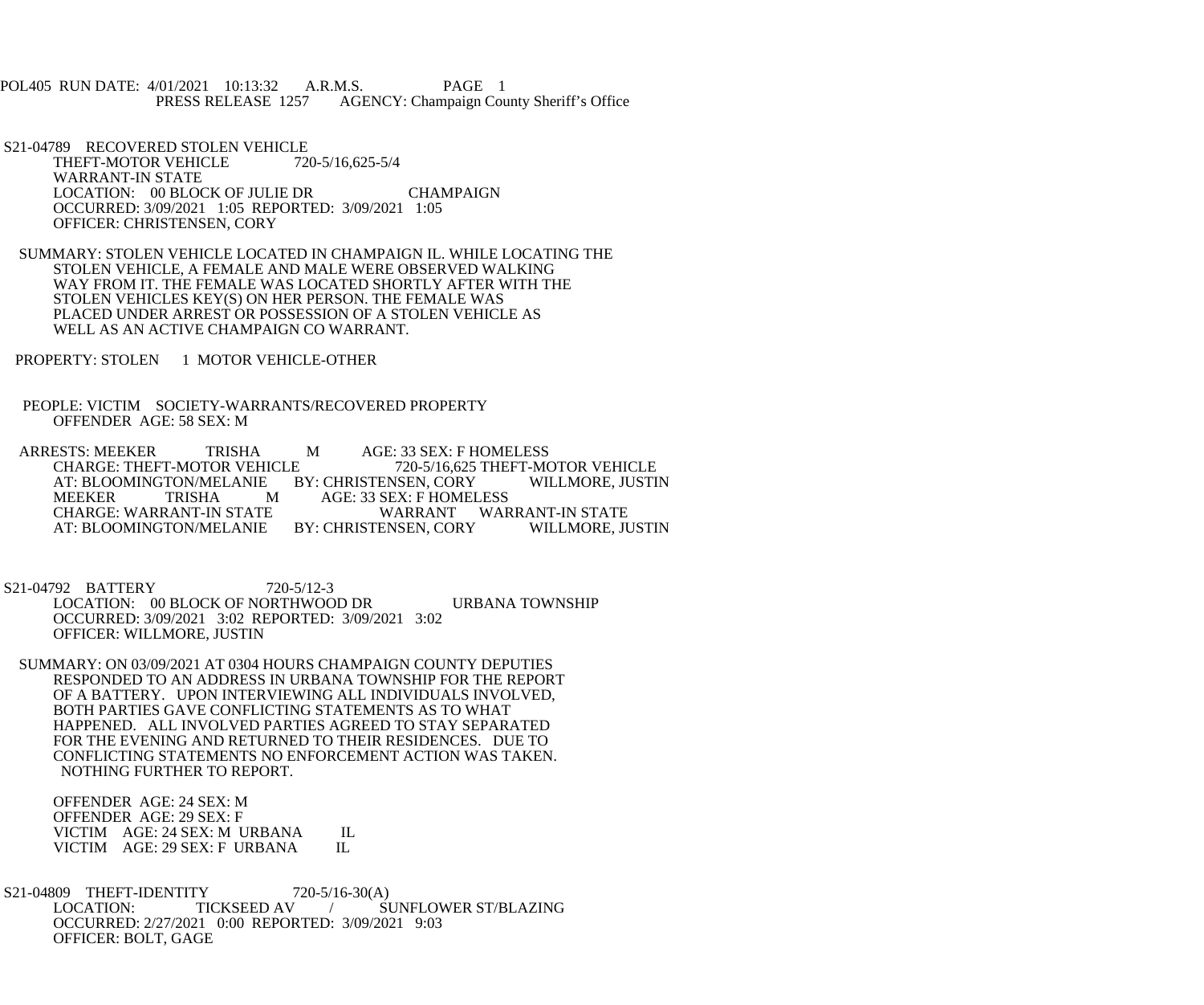POL405 RUN DATE: 4/01/2021 10:13:32 A.R.M.S. PAGE 1<br>PRESS RELEASE 1257 AGENCY: Champaign Cou AGENCY: Champaign County Sheriff's Office

S21-04789 RECOVERED STOLEN VEHICLE<br>THEFT-MOTOR VEHICLE 720-5/16.625-5/4 THEFT-MOTOR VEHICLE WARRANT-IN STATE LOCATION: 00 BLOCK OF JULIE DR CHAMPAIGN OCCURRED: 3/09/2021 1:05 REPORTED: 3/09/2021 1:05 OFFICER: CHRISTENSEN, CORY

 SUMMARY: STOLEN VEHICLE LOCATED IN CHAMPAIGN IL. WHILE LOCATING THE STOLEN VEHICLE, A FEMALE AND MALE WERE OBSERVED WALKING WAY FROM IT. THE FEMALE WAS LOCATED SHORTLY AFTER WITH THE STOLEN VEHICLES KEY(S) ON HER PERSON. THE FEMALE WAS PLACED UNDER ARREST OR POSSESSION OF A STOLEN VEHICLE AS WELL AS AN ACTIVE CHAMPAIGN CO WARRANT.

PROPERTY: STOLEN 1 MOTOR VEHICLE-OTHER

 PEOPLE: VICTIM SOCIETY-WARRANTS/RECOVERED PROPERTY OFFENDER AGE: 58 SEX: M

ARRESTS: MEEKER TRISHA M AGE: 33 SEX: F HOMELESS<br>CHARGE: THEFT-MOTOR VEHICLE 720-5/16,625 THEFT-MO 720-5/16,625 THEFT-MOTOR VEHICLE AT: BLOOMINGTON/MELANIE BY: CHRISTENSEN, CORY WILLMORE, JUSTIN<br>MEEKER TRISHA MAGE: 33 SEX: F HOMELESS MEEKER TRISHA M AGE: 33 SEX: F HOMELESS<br>CHARGE: WARRANT-IN STATE WARRANT WAR WARRANT WARRANT-IN STATE<br>ENSEN, CORY WILLMORE, JUSTIN AT: BLOOMINGTON/MELANIE BY: CHRISTENSEN, CORY

 S21-04792 BATTERY 720-5/12-3 LOCATION: 00 BLOCK OF NORTHWOOD DR URBANA TOWNSHIP OCCURRED: 3/09/2021 3:02 REPORTED: 3/09/2021 3:02 OFFICER: WILLMORE, JUSTIN

 SUMMARY: ON 03/09/2021 AT 0304 HOURS CHAMPAIGN COUNTY DEPUTIES RESPONDED TO AN ADDRESS IN URBANA TOWNSHIP FOR THE REPORT OF A BATTERY. UPON INTERVIEWING ALL INDIVIDUALS INVOLVED, BOTH PARTIES GAVE CONFLICTING STATEMENTS AS TO WHAT HAPPENED. ALL INVOLVED PARTIES AGREED TO STAY SEPARATED FOR THE EVENING AND RETURNED TO THEIR RESIDENCES. DUE TO CONFLICTING STATEMENTS NO ENFORCEMENT ACTION WAS TAKEN. NOTHING FURTHER TO REPORT.

 OFFENDER AGE: 24 SEX: M OFFENDER AGE: 29 SEX: F VICTIM AGE: 24 SEX: M URBANA IL<br>VICTIM AGE: 29 SEX: F URBANA IL VICTIM AGE: 29 SEX: F URBANA

S21-04809 THEFT-IDENTITY 720-5/16-30(A)<br>LOCATION: TICKSEED AV / SI SUNFLOWER ST/BLAZING OCCURRED: 2/27/2021 0:00 REPORTED: 3/09/2021 9:03 OFFICER: BOLT, GAGE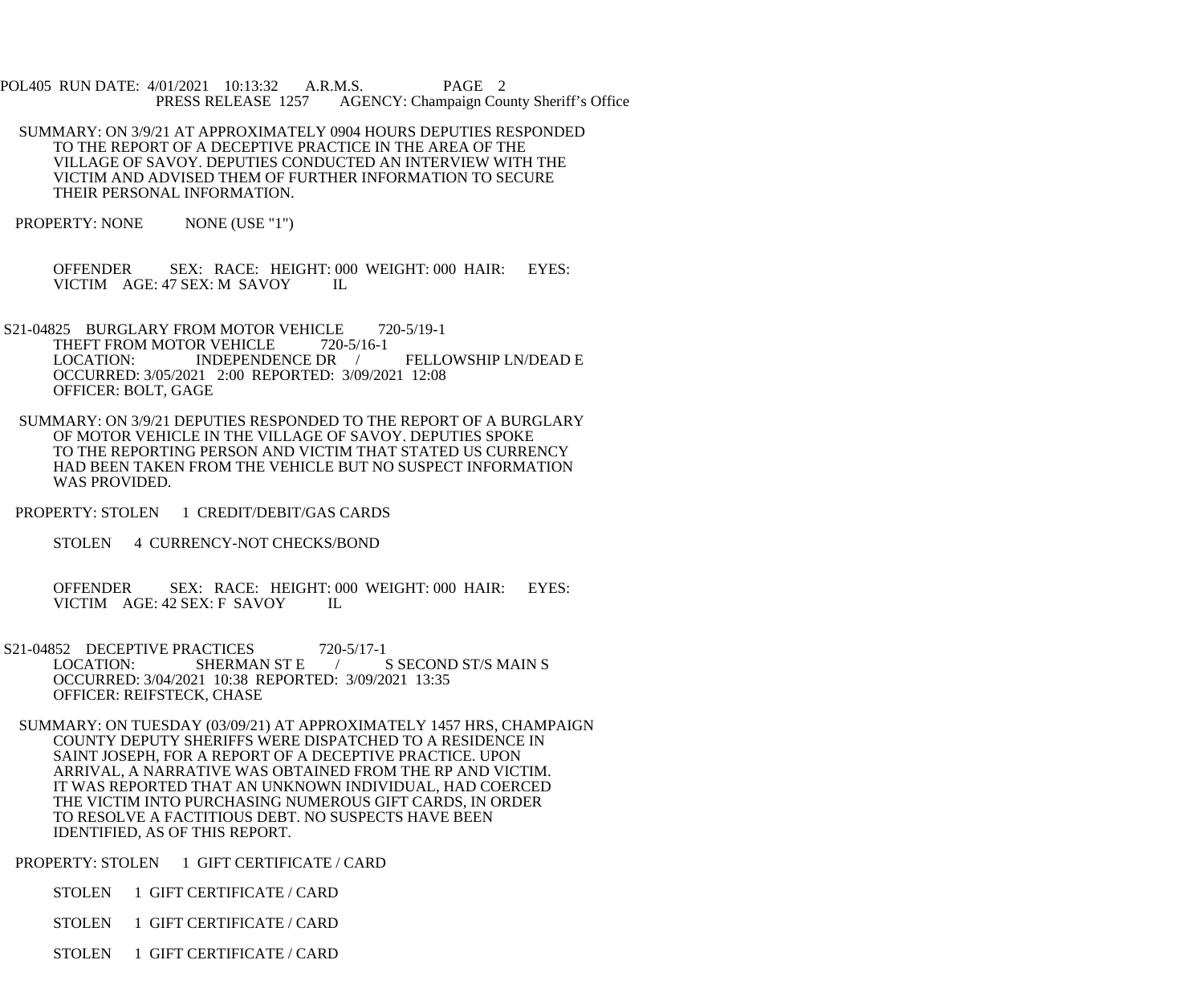- POL405 RUN DATE: 4/01/2021 10:13:32 A.R.M.S. PAGE 2 PRESS RELEASE 1257 AGENCY: Champaign County Sheriff's Office
- SUMMARY: ON 3/9/21 AT APPROXIMATELY 0904 HOURS DEPUTIES RESPONDED TO THE REPORT OF A DECEPTIVE PRACTICE IN THE AREA OF THE VILLAGE OF SAVOY. DEPUTIES CONDUCTED AN INTERVIEW WITH THE VICTIM AND ADVISED THEM OF FURTHER INFORMATION TO SECURE THEIR PERSONAL INFORMATION.
- PROPERTY: NONE NONE (USE "1")

 OFFENDER SEX: RACE: HEIGHT: 000 WEIGHT: 000 HAIR: EYES: VICTIM AGE: 47 SEX: M SAVOY IL

- S21-04825 BURGLARY FROM MOTOR VEHICLE 720-5/19-1 THEFT FROM MOTOR VEHICLE 720-5/16-1<br>LOCATION: INDEPENDENCE DR LOCATION: INDEPENDENCE DR / FELLOWSHIP LN/DEAD E OCCURRED: 3/05/2021 2:00 REPORTED: 3/09/2021 12:08 OFFICER: BOLT, GAGE
- SUMMARY: ON 3/9/21 DEPUTIES RESPONDED TO THE REPORT OF A BURGLARY OF MOTOR VEHICLE IN THE VILLAGE OF SAVOY. DEPUTIES SPOKE TO THE REPORTING PERSON AND VICTIM THAT STATED US CURRENCY HAD BEEN TAKEN FROM THE VEHICLE BUT NO SUSPECT INFORMATION WAS PROVIDED.
- PROPERTY: STOLEN 1 CREDIT/DEBIT/GAS CARDS
	- STOLEN 4 CURRENCY-NOT CHECKS/BOND
	- OFFENDER SEX: RACE: HEIGHT: 000 WEIGHT: 000 HAIR: EYES: VICTIM AGE: 42 SEX: F SAVOY IL
- S21-04852 DECEPTIVE PRACTICES 720-5/17-1<br>LOCATION: SHERMAN ST E S SECOND ST/S MAIN S OCCURRED: 3/04/2021 10:38 REPORTED: 3/09/2021 13:35 OFFICER: REIFSTECK, CHASE
- SUMMARY: ON TUESDAY (03/09/21) AT APPROXIMATELY 1457 HRS, CHAMPAIGN COUNTY DEPUTY SHERIFFS WERE DISPATCHED TO A RESIDENCE IN SAINT JOSEPH, FOR A REPORT OF A DECEPTIVE PRACTICE. UPON ARRIVAL, A NARRATIVE WAS OBTAINED FROM THE RP AND VICTIM. IT WAS REPORTED THAT AN UNKNOWN INDIVIDUAL, HAD COERCED THE VICTIM INTO PURCHASING NUMEROUS GIFT CARDS, IN ORDER TO RESOLVE A FACTITIOUS DEBT. NO SUSPECTS HAVE BEEN IDENTIFIED, AS OF THIS REPORT.
- PROPERTY: STOLEN 1 GIFT CERTIFICATE / CARD
	- STOLEN 1 GIFT CERTIFICATE / CARD
	- STOLEN 1 GIFT CERTIFICATE / CARD
	- STOLEN 1 GIFT CERTIFICATE / CARD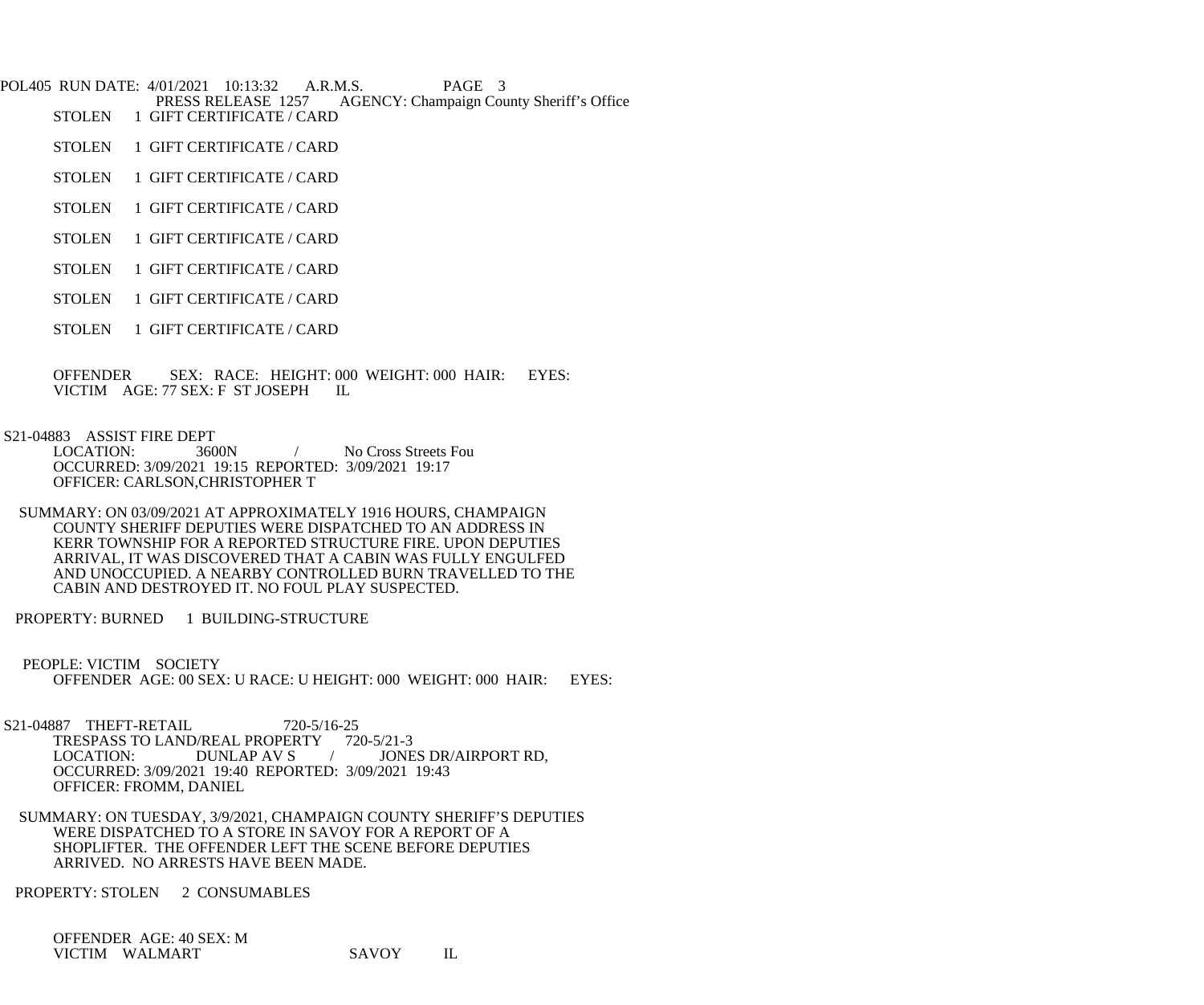POL405 RUN DATE: 4/01/2021 10:13:32 A.R.M.S. PAGE 3<br>PRESS RELEASE 1257 AGENCY: Champaign Cou PRESS RELEASE 1257 AGENCY: Champaign County Sheriff's Office<br>STOLEN 1 GIFT CERTIFICATE / CARD 1 GIFT CERTIFICATE / CARD

- STOLEN 1 GIFT CERTIFICATE / CARD
- STOLEN 1 GIFT CERTIFICATE / CARD
- STOLEN 1 GIFT CERTIFICATE / CARD
- STOLEN 1 GIFT CERTIFICATE / CARD
- STOLEN 1 GIFT CERTIFICATE / CARD
- STOLEN 1 GIFT CERTIFICATE / CARD
- STOLEN 1 GIFT CERTIFICATE / CARD

OFFENDER SEX: RACE: HEIGHT: 000 WEIGHT: 000 HAIR: EYES: VICTIM AGE: 77 SEX: F ST JOSEPH IL VICTIM AGE: 77 SEX: F ST JOSEPH

S21-04883 ASSIST FIRE DEPT

 LOCATION: 3600N / No Cross Streets Fou OCCURRED: 3/09/2021 19:15 REPORTED: 3/09/2021 19:17 OFFICER: CARLSON,CHRISTOPHER T

- SUMMARY: ON 03/09/2021 AT APPROXIMATELY 1916 HOURS, CHAMPAIGN COUNTY SHERIFF DEPUTIES WERE DISPATCHED TO AN ADDRESS IN KERR TOWNSHIP FOR A REPORTED STRUCTURE FIRE. UPON DEPUTIES ARRIVAL, IT WAS DISCOVERED THAT A CABIN WAS FULLY ENGULFED AND UNOCCUPIED. A NEARBY CONTROLLED BURN TRAVELLED TO THE CABIN AND DESTROYED IT. NO FOUL PLAY SUSPECTED.
- PROPERTY: BURNED 1 BUILDING-STRUCTURE
- PEOPLE: VICTIM SOCIETY OFFENDER AGE: 00 SEX: U RACE: U HEIGHT: 000 WEIGHT: 000 HAIR: EYES:

S21-04887 THEFT-RETAIL 720-5/16-25 TRESPASS TO LAND/REAL PROPERTY 720-5/21-3<br>LOCATION: DUNLAP AV S / JONE JONES DR/AIRPORT RD. OCCURRED: 3/09/2021 19:40 REPORTED: 3/09/2021 19:43 OFFICER: FROMM, DANIEL

 SUMMARY: ON TUESDAY, 3/9/2021, CHAMPAIGN COUNTY SHERIFF'S DEPUTIES WERE DISPATCHED TO A STORE IN SAVOY FOR A REPORT OF A SHOPLIFTER. THE OFFENDER LEFT THE SCENE BEFORE DEPUTIES ARRIVED. NO ARRESTS HAVE BEEN MADE.

PROPERTY: STOLEN 2 CONSUMABLES

 OFFENDER AGE: 40 SEX: M VICTIM WALMART SAVOY IL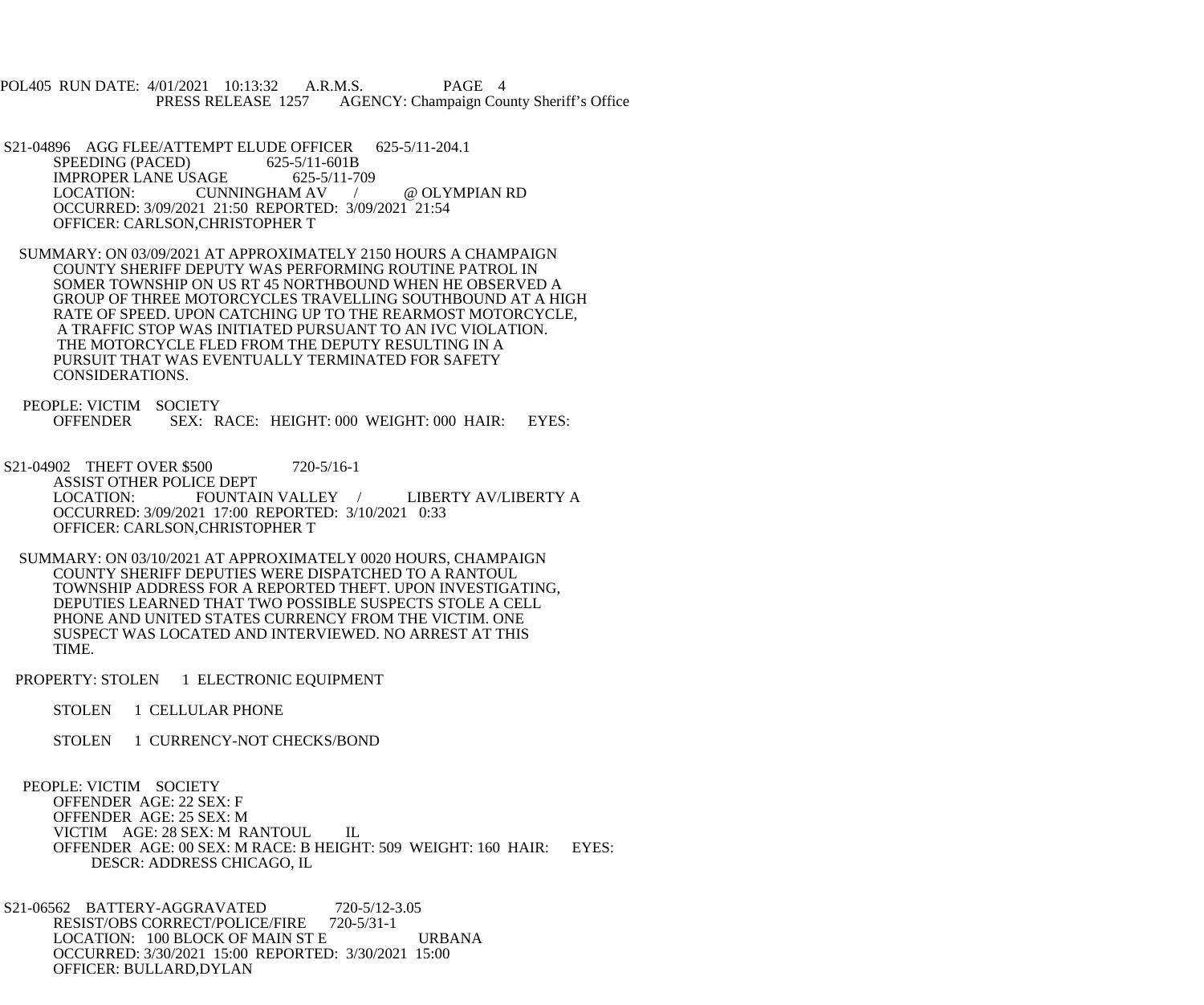POL405 RUN DATE: 4/01/2021 10:13:32 A.R.M.S. PAGE 4 PRESS RELEASE 1257 AGENCY: Champaign County Sheriff's Office

S21-04896 AGG FLEE/ATTEMPT ELUDE OFFICER 625-5/11-204.1<br>SPEEDING (PACED) 625-5/11-601B SPEEDING (PACED) IMPROPER LANE USAGE 625-5/11-709 LOCATION: CUNNINGHAM AV / @ OLYMPIAN RD OCCURRED: 3/09/2021 21:50 REPORTED: 3/09/2021 21:54 OFFICER: CARLSON,CHRISTOPHER T

 SUMMARY: ON 03/09/2021 AT APPROXIMATELY 2150 HOURS A CHAMPAIGN COUNTY SHERIFF DEPUTY WAS PERFORMING ROUTINE PATROL IN SOMER TOWNSHIP ON US RT 45 NORTHBOUND WHEN HE OBSERVED A GROUP OF THREE MOTORCYCLES TRAVELLING SOUTHBOUND AT A HIGH RATE OF SPEED. UPON CATCHING UP TO THE REARMOST MOTORCYCLE, A TRAFFIC STOP WAS INITIATED PURSUANT TO AN IVC VIOLATION. THE MOTORCYCLE FLED FROM THE DEPUTY RESULTING IN A PURSUIT THAT WAS EVENTUALLY TERMINATED FOR SAFETY CONSIDERATIONS.

PEOPLE: VICTIM SOCIETY<br>OFFENDER SEX: R SEX: RACE: HEIGHT: 000 WEIGHT: 000 HAIR: EYES:

S21-04902 THEFT OVER \$500 720-5/16-1 ASSIST OTHER POLICE DEPT<br>LOCATION: FOUNTAIN VALLEY LOCATION: FOUNTAIN VALLEY / LIBERTY AV/LIBERTY A OCCURRED: 3/09/2021 17:00 REPORTED: 3/10/2021 0:33 OFFICER: CARLSON,CHRISTOPHER T

 SUMMARY: ON 03/10/2021 AT APPROXIMATELY 0020 HOURS, CHAMPAIGN COUNTY SHERIFF DEPUTIES WERE DISPATCHED TO A RANTOUL TOWNSHIP ADDRESS FOR A REPORTED THEFT. UPON INVESTIGATING, DEPUTIES LEARNED THAT TWO POSSIBLE SUSPECTS STOLE A CELL PHONE AND UNITED STATES CURRENCY FROM THE VICTIM. ONE SUSPECT WAS LOCATED AND INTERVIEWED. NO ARREST AT THIS TIME.

PROPERTY: STOLEN 1 ELECTRONIC EQUIPMENT

STOLEN 1 CELLULAR PHONE

STOLEN 1 CURRENCY-NOT CHECKS/BOND

 PEOPLE: VICTIM SOCIETY OFFENDER AGE: 22 SEX: F OFFENDER AGE: 25 SEX: M VICTIM AGE: 28 SEX: M RANTOUL IL OFFENDER AGE: 00 SEX: M RACE: B HEIGHT: 509 WEIGHT: 160 HAIR: EYES: DESCR: ADDRESS CHICAGO, IL

 S21-06562 BATTERY-AGGRAVATED 720-5/12-3.05 RESIST/OBS CORRECT/POLICE/FIRE 720-5/31-1 LOCATION: 100 BLOCK OF MAIN ST E URBANA OCCURRED: 3/30/2021 15:00 REPORTED: 3/30/2021 15:00 OFFICER: BULLARD,DYLAN